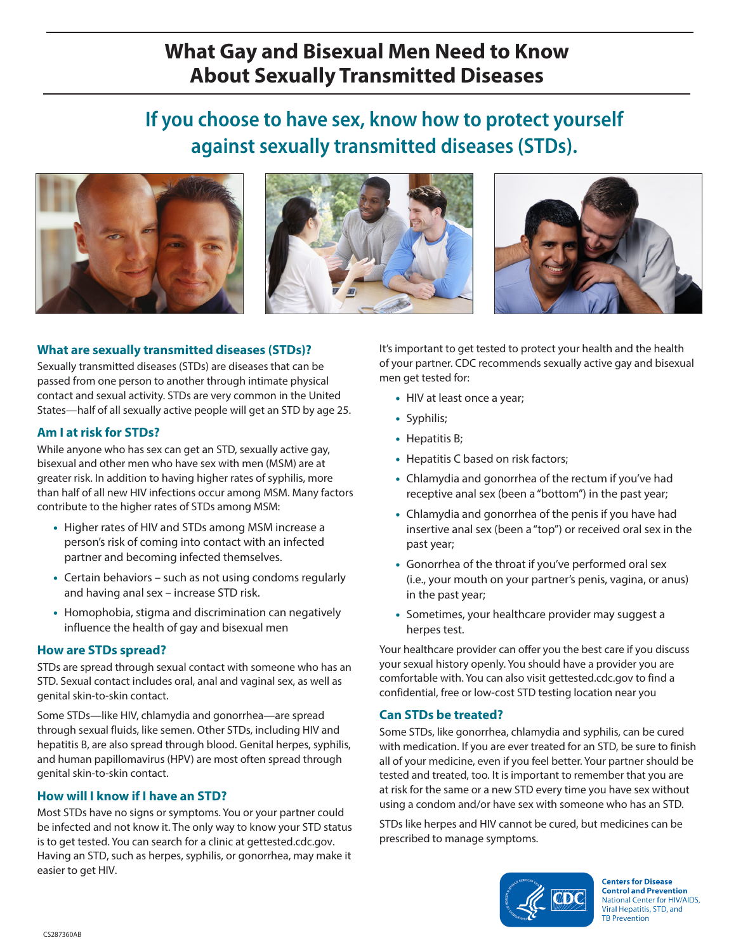## **What Gay and Bisexual Men Need to Know About Sexually Transmitted Diseases**

# **If you choose to have sex, know how to protect yourself against sexually transmitted diseases (STDs).**







## **What are sexually transmitted diseases (STDs)?**

Sexually transmitted diseases (STDs) are diseases that can be passed from one person to another through intimate physical contact and sexual activity. STDs are very common in the United States—half of all sexually active people will get an STD by age 25.

#### **Am I at risk for STDs?**

While anyone who has sex can get an STD, sexually active gay, bisexual and other men who have sex with men (MSM) are at greater risk. In addition to having higher rates of syphilis, more than half of all new HIV infections occur among MSM. Many factors contribute to the higher rates of STDs among MSM:

- Higher rates of HIV and STDs among MSM increase a person's risk of coming into contact with an infected partner and becoming infected themselves.
- Certain behaviors such as not using condoms regularly and having anal sex – increase STD risk.
- Homophobia, stigma and discrimination can negatively influence the health of gay and bisexual men

#### **How are STDs spread?**

STDs are spread through sexual contact with someone who has an STD. Sexual contact includes oral, anal and vaginal sex, as well as genital skin-to-skin contact.

Some STDs—like HIV, chlamydia and gonorrhea—are spread through sexual fluids, like semen. Other STDs, including HIV and hepatitis B, are also spread through blood. Genital herpes, syphilis, and human papillomavirus (HPV) are most often spread through genital skin-to-skin contact.

#### **How will I know if I have an STD?**

Most STDs have no signs or symptoms. You or your partner could be infected and not know it. The only way to know your STD status is to get tested. You can search for a clinic at gettested.cdc.gov. Having an STD, such as herpes, syphilis, or gonorrhea, may make it easier to get HIV.

It's important to get tested to protect your health and the health of your partner. CDC recommends sexually active gay and bisexual men get tested for:

- HIV at least once a year;
- Syphilis;
- Hepatitis B;
- Hepatitis C based on risk factors;
- Chlamydia and gonorrhea of the rectum if you've had receptive anal sex (been a "bottom") in the past year;
- Chlamydia and gonorrhea of the penis if you have had insertive anal sex (been a "top") or received oral sex in the past year;
- Gonorrhea of the throat if you've performed oral sex (i.e., your mouth on your partner's penis, vagina, or anus) in the past year;
- Sometimes, your healthcare provider may suggest a herpes test.

Your healthcare provider can offer you the best care if you discuss your sexual history openly. You should have a provider you are comfortable with. You can also visit gettested.cdc.gov to find a confidential, free or low-cost STD testing location near you

## **Can STDs be treated?**

Some STDs, like gonorrhea, chlamydia and syphilis, can be cured with medication. If you are ever treated for an STD, be sure to finish all of your medicine, even if you feel better. Your partner should be tested and treated, too. It is important to remember that you are at risk for the same or a new STD every time you have sex without using a condom and/or have sex with someone who has an STD.

STDs like herpes and HIV cannot be cured, but medicines can be prescribed to manage symptoms.



**Centers for Disease Control and Prevention** National Center for HIV/AIDS, Viral Hepatitis, STD, and **TB Prevention**